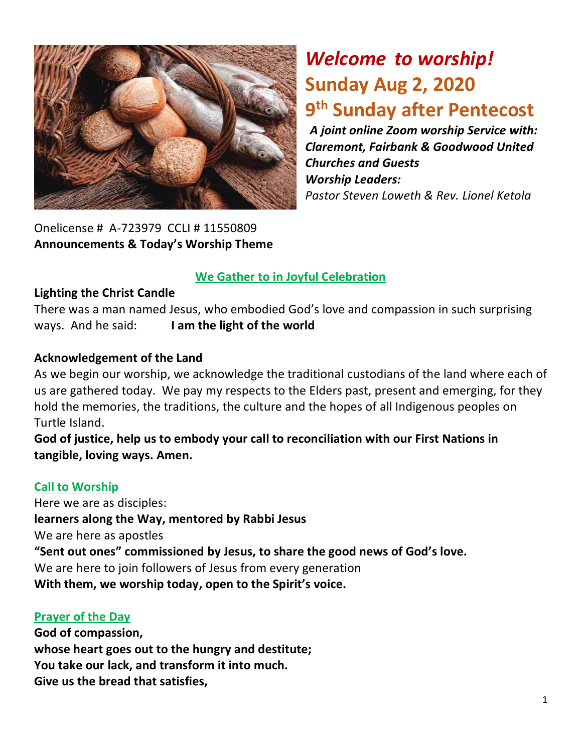

*Welcome to worship!* **Sunday Aug 2, 2020 9 th Sunday after Pentecost** 

*A joint online Zoom worship Service with: Claremont, Fairbank & Goodwood United Churches and Guests Worship Leaders: Pastor Steven Loweth & Rev. Lionel Ketola*

Onelicense # A-723979 CCLI # 11550809 **Announcements & Today's Worship Theme** 

#### **We Gather to in Joyful Celebration**

#### **Lighting the Christ Candle**

There was a man named Jesus, who embodied God's love and compassion in such surprising ways. And he said: **I am the light of the world** 

#### **Acknowledgement of the Land**

As we begin our worship, we acknowledge the traditional custodians of the land where each of us are gathered today. We pay my respects to the Elders past, present and emerging, for they hold the memories, the traditions, the culture and the hopes of all Indigenous peoples on Turtle Island.

**God of justice, help us to embody your call to reconciliation with our First Nations in tangible, loving ways. Amen.** 

#### **Call to Worship**

Here we are as disciples: **learners along the Way, mentored by Rabbi Jesus** We are here as apostles **"Sent out ones" commissioned by Jesus, to share the good news of God's love.**  We are here to join followers of Jesus from every generation **With them, we worship today, open to the Spirit's voice.** 

#### **Prayer of the Day**

**God of compassion, whose heart goes out to the hungry and destitute; You take our lack, and transform it into much. Give us the bread that satisfies,**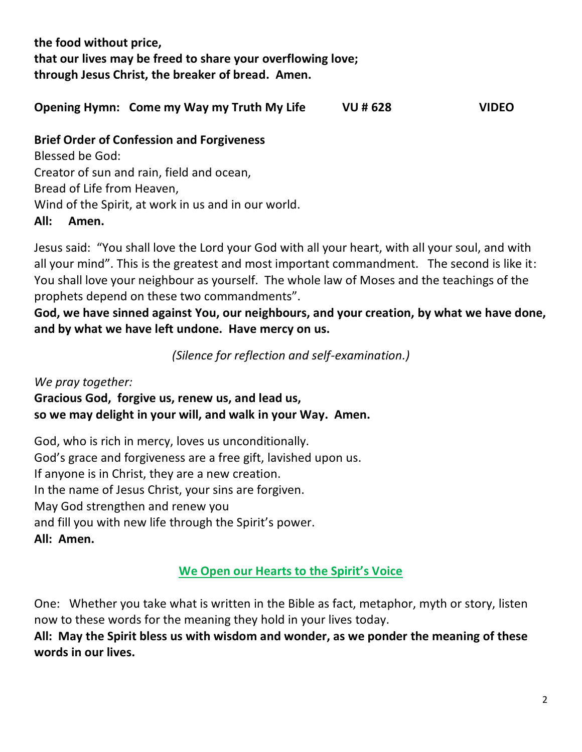**the food without price, that our lives may be freed to share your overflowing love; through Jesus Christ, the breaker of bread. Amen.** 

**Opening Hymn: Come my Way my Truth My Life VU # 628 VIDEO**

#### **Brief Order of Confession and Forgiveness**

Blessed be God: Creator of sun and rain, field and ocean, Bread of Life from Heaven, Wind of the Spirit, at work in us and in our world. **All: Amen.** 

Jesus said: "You shall love the Lord your God with all your heart, with all your soul, and with all your mind". This is the greatest and most important commandment. The second is like it: You shall love your neighbour as yourself. The whole law of Moses and the teachings of the prophets depend on these two commandments".

**God, we have sinned against You, our neighbours, and your creation, by what we have done, and by what we have left undone. Have mercy on us.** 

*(Silence for reflection and self-examination.)*

*We pray together:*  **Gracious God, forgive us, renew us, and lead us, so we may delight in your will, and walk in your Way. Amen.**

God, who is rich in mercy, loves us unconditionally. God's grace and forgiveness are a free gift, lavished upon us. If anyone is in Christ, they are a new creation. In the name of Jesus Christ, your sins are forgiven. May God strengthen and renew you and fill you with new life through the Spirit's power. **All: Amen.**

#### **We Open our Hearts to the Spirit's Voice**

One: Whether you take what is written in the Bible as fact, metaphor, myth or story, listen now to these words for the meaning they hold in your lives today.

**All: May the Spirit bless us with wisdom and wonder, as we ponder the meaning of these words in our lives.**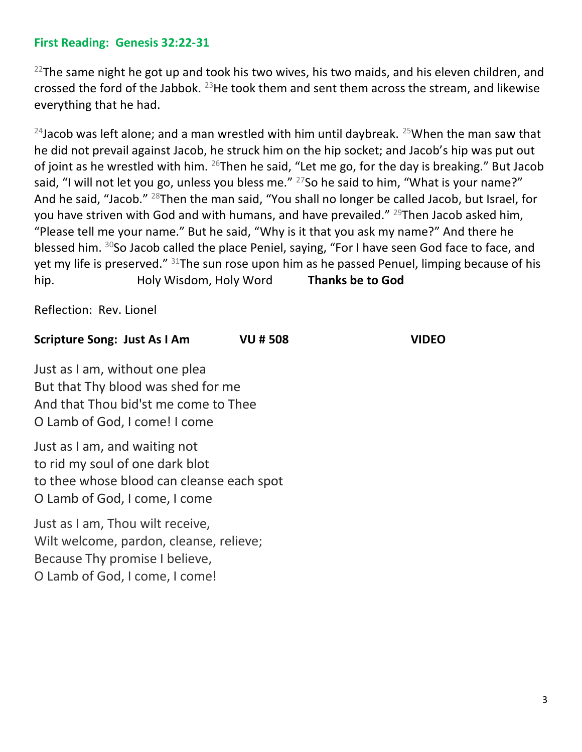#### **First Reading: Genesis 32:22-31**

 $22$ The same night he got up and took his two wives, his two maids, and his eleven children, and crossed the ford of the Jabbok. <sup>23</sup>He took them and sent them across the stream, and likewise everything that he had.

<sup>24</sup>Jacob was left alone; and a man wrestled with him until daybreak. <sup>25</sup>When the man saw that he did not prevail against Jacob, he struck him on the hip socket; and Jacob's hip was put out of joint as he wrestled with him.  $^{26}$ Then he said, "Let me go, for the day is breaking." But Jacob said, "I will not let you go, unless you bless me."  $27$  So he said to him, "What is your name?" And he said, "Jacob." <sup>28</sup>Then the man said, "You shall no longer be called Jacob, but Israel, for you have striven with God and with humans, and have prevailed."  $^{29}$ Then Jacob asked him, "Please tell me your name." But he said, "Why is it that you ask my name?" And there he blessed him. <sup>30</sup>So Jacob called the place Peniel, saying, "For I have seen God face to face, and yet my life is preserved." <sup>31</sup>The sun rose upon him as he passed Penuel, limping because of his hip. Holy Wisdom, Holy Word **Thanks be to God** 

Reflection: Rev. Lionel

#### **Scripture Song: Just As I Am VU # 508 VIDEO**

Just as I am, without one plea But that Thy blood was shed for me And that Thou bid'st me come to Thee O Lamb of God, I come! I come

Just as I am, and waiting not to rid my soul of one dark blot to thee whose blood can cleanse each spot O Lamb of God, I come, I come

Just as I am, Thou wilt receive, Wilt welcome, pardon, cleanse, relieve; Because Thy promise I believe, O Lamb of God, I come, I come!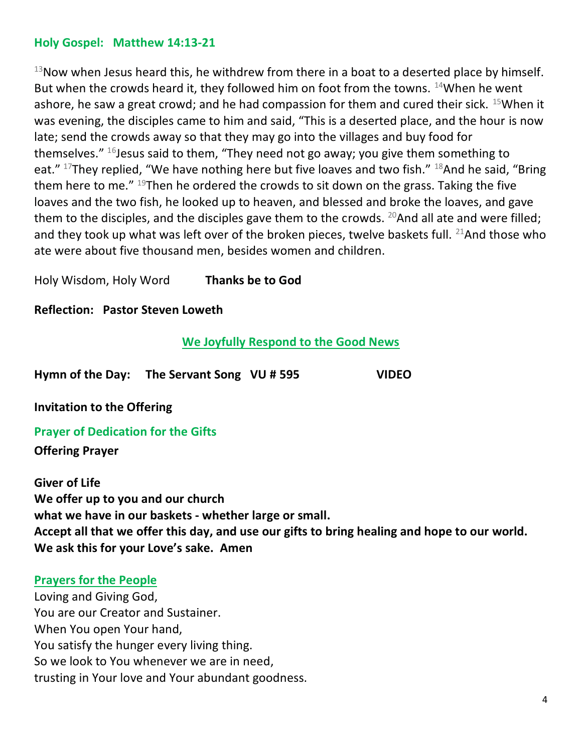#### **Holy Gospel: Matthew 14:13-21**

 $13$ Now when Jesus heard this, he withdrew from there in a boat to a deserted place by himself. But when the crowds heard it, they followed him on foot from the towns.  $14$ When he went ashore, he saw a great crowd; and he had compassion for them and cured their sick.  $15$ When it was evening, the disciples came to him and said, "This is a deserted place, and the hour is now late; send the crowds away so that they may go into the villages and buy food for themselves."  $16$  Jesus said to them, "They need not go away; you give them something to eat."  $17$ They replied, "We have nothing here but five loaves and two fish."  $18$ And he said, "Bring them here to me."  $^{19}$ Then he ordered the crowds to sit down on the grass. Taking the five loaves and the two fish, he looked up to heaven, and blessed and broke the loaves, and gave them to the disciples, and the disciples gave them to the crowds. <sup>20</sup>And all ate and were filled; and they took up what was left over of the broken pieces, twelve baskets full.  $^{21}$ And those who ate were about five thousand men, besides women and children.

Holy Wisdom, Holy Word **Thanks be to God** 

**Reflection: Pastor Steven Loweth** 

#### **We Joyfully Respond to the Good News**

**Hymn of the Day: The Servant Song VU # 595 VIDEO** 

**Invitation to the Offering**

**Prayer of Dedication for the Gifts** 

**Offering Prayer**

**Giver of Life We offer up to you and our church what we have in our baskets - whether large or small. Accept all that we offer this day, and use our gifts to bring healing and hope to our world. We ask this for your Love's sake. Amen**

#### **Prayers for the People**

Loving and Giving God, You are our Creator and Sustainer. When You open Your hand, You satisfy the hunger every living thing. So we look to You whenever we are in need, trusting in Your love and Your abundant goodness.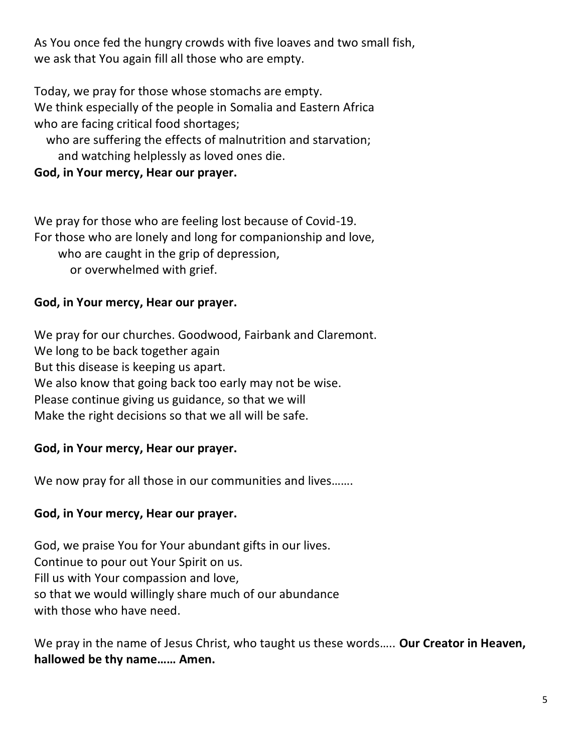As You once fed the hungry crowds with five loaves and two small fish, we ask that You again fill all those who are empty.

Today, we pray for those whose stomachs are empty. We think especially of the people in Somalia and Eastern Africa who are facing critical food shortages;

 who are suffering the effects of malnutrition and starvation; and watching helplessly as loved ones die.

#### **God, in Your mercy, Hear our prayer.**

We pray for those who are feeling lost because of Covid-19. For those who are lonely and long for companionship and love, who are caught in the grip of depression, or overwhelmed with grief.

#### **God, in Your mercy, Hear our prayer.**

We pray for our churches. Goodwood, Fairbank and Claremont. We long to be back together again But this disease is keeping us apart. We also know that going back too early may not be wise. Please continue giving us guidance, so that we will Make the right decisions so that we all will be safe.

#### **God, in Your mercy, Hear our prayer.**

We now pray for all those in our communities and lives.......

#### **God, in Your mercy, Hear our prayer.**

God, we praise You for Your abundant gifts in our lives. Continue to pour out Your Spirit on us. Fill us with Your compassion and love, so that we would willingly share much of our abundance with those who have need.

We pray in the name of Jesus Christ, who taught us these words….. **Our Creator in Heaven, hallowed be thy name…… Amen.**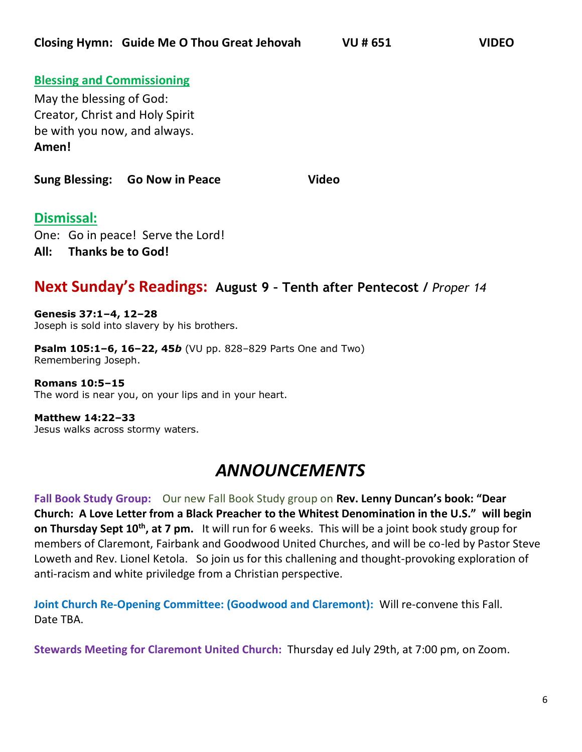#### **Blessing and Commissioning**

May the blessing of God: Creator, Christ and Holy Spirit be with you now, and always. **Amen!** 

**Sung Blessing: Go Now in Peace Video** 

#### **Dismissal:**

One: Go in peace! Serve the Lord! **All: Thanks be to God!** 

#### **Next Sunday's Readings: August 9 – Tenth after Pentecost /** *Proper 14*

**Genesis 37:1–4, 12–28** Joseph is sold into slavery by his brothers.

**Psalm 105:1–6, 16–22, 45***b* (VU pp. 828–829 Parts One and Two) Remembering Joseph.

**Romans 10:5–15** The word is near you, on your lips and in your heart.

**Matthew 14:22–33** Jesus walks across stormy waters.

### *ANNOUNCEMENTS*

**Fall Book Study Group:** Our new Fall Book Study group on **Rev. Lenny Duncan's book: "Dear Church: A Love Letter from a Black Preacher to the Whitest Denomination in the U.S." will begin on Thursday Sept 10th, at 7 pm.** It will run for 6 weeks. This will be a joint book study group for members of Claremont, Fairbank and Goodwood United Churches, and will be co-led by Pastor Steve Loweth and Rev. Lionel Ketola. So join us for this challening and thought-provoking exploration of anti-racism and white priviledge from a Christian perspective.

**Joint Church Re-Opening Committee: (Goodwood and Claremont):** Will re-convene this Fall. Date TBA.

**Stewards Meeting for Claremont United Church:** Thursday ed July 29th, at 7:00 pm, on Zoom.